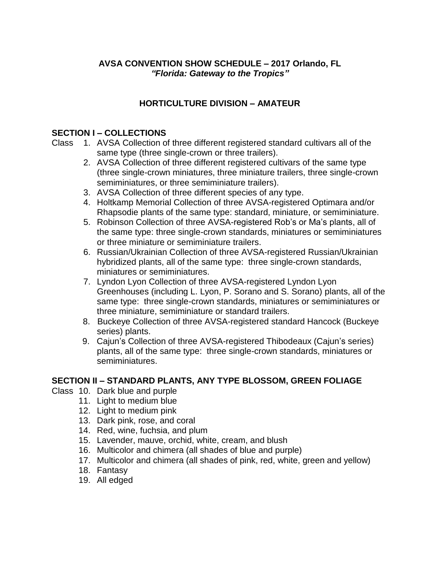### **AVSA CONVENTION SHOW SCHEDULE – 2017 Orlando, FL** *"Florida: Gateway to the Tropics"*

# **HORTICULTURE DIVISION – AMATEUR**

#### **SECTION I – COLLECTIONS**

Class 1. AVSA Collection of three different registered standard cultivars all of the same type (three single-crown or three trailers).

- 2. AVSA Collection of three different registered cultivars of the same type (three single-crown miniatures, three miniature trailers, three single-crown semiminiatures, or three semiminiature trailers).
- 3. AVSA Collection of three different species of any type.
- 4. Holtkamp Memorial Collection of three AVSA-registered Optimara and/or Rhapsodie plants of the same type: standard, miniature, or semiminiature.
- 5. Robinson Collection of three AVSA-registered Rob's or Ma's plants, all of the same type: three single-crown standards, miniatures or semiminiatures or three miniature or semiminiature trailers.
- 6. Russian/Ukrainian Collection of three AVSA-registered Russian/Ukrainian hybridized plants, all of the same type: three single-crown standards, miniatures or semiminiatures.
- 7. Lyndon Lyon Collection of three AVSA-registered Lyndon Lyon Greenhouses (including L. Lyon, P. Sorano and S. Sorano) plants, all of the same type: three single-crown standards, miniatures or semiminiatures or three miniature, semiminiature or standard trailers.
- 8. Buckeye Collection of three AVSA-registered standard Hancock (Buckeye series) plants.
- 9. Cajun's Collection of three AVSA-registered Thibodeaux (Cajun's series) plants, all of the same type: three single-crown standards, miniatures or semiminiatures.

# **SECTION II – STANDARD PLANTS, ANY TYPE BLOSSOM, GREEN FOLIAGE**

#### Class 10. Dark blue and purple

- 11. Light to medium blue
- 12. Light to medium pink
- 13. Dark pink, rose, and coral
- 14. Red, wine, fuchsia, and plum
- 15. Lavender, mauve, orchid, white, cream, and blush
- 16. Multicolor and chimera (all shades of blue and purple)
- 17. Multicolor and chimera (all shades of pink, red, white, green and yellow)
- 18. Fantasy
- 19. All edged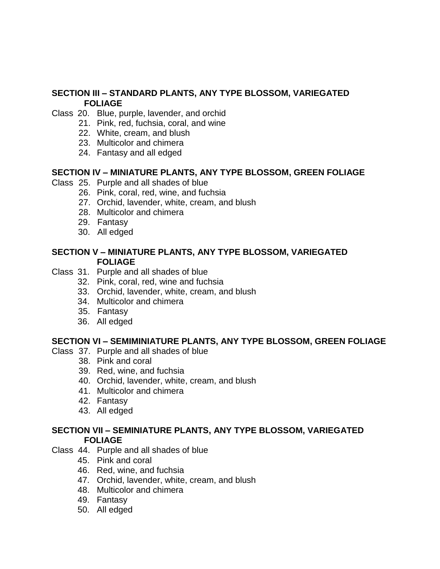### **SECTION III – STANDARD PLANTS, ANY TYPE BLOSSOM, VARIEGATED FOLIAGE**

- Class 20. Blue, purple, lavender, and orchid
	- 21. Pink, red, fuchsia, coral, and wine
	- 22. White, cream, and blush
	- 23. Multicolor and chimera
	- 24. Fantasy and all edged

#### **SECTION IV – MINIATURE PLANTS, ANY TYPE BLOSSOM, GREEN FOLIAGE**

- Class 25. Purple and all shades of blue
	- 26. Pink, coral, red, wine, and fuchsia
	- 27. Orchid, lavender, white, cream, and blush
	- 28. Multicolor and chimera
	- 29. Fantasy
	- 30. All edged

#### **SECTION V – MINIATURE PLANTS, ANY TYPE BLOSSOM, VARIEGATED FOLIAGE**

- Class 31. Purple and all shades of blue
	- 32. Pink, coral, red, wine and fuchsia
	- 33. Orchid, lavender, white, cream, and blush
	- 34. Multicolor and chimera
	- 35. Fantasy
	- 36. All edged

#### **SECTION VI – SEMIMINIATURE PLANTS, ANY TYPE BLOSSOM, GREEN FOLIAGE**

- Class 37. Purple and all shades of blue
	- 38. Pink and coral
	- 39. Red, wine, and fuchsia
	- 40. Orchid, lavender, white, cream, and blush
	- 41. Multicolor and chimera
	- 42. Fantasy
	- 43. All edged

#### **SECTION VII – SEMINIATURE PLANTS, ANY TYPE BLOSSOM, VARIEGATED FOLIAGE**

- Class 44. Purple and all shades of blue
	- 45. Pink and coral
	- 46. Red, wine, and fuchsia
	- 47. Orchid, lavender, white, cream, and blush
	- 48. Multicolor and chimera
	- 49. Fantasy
	- 50. All edged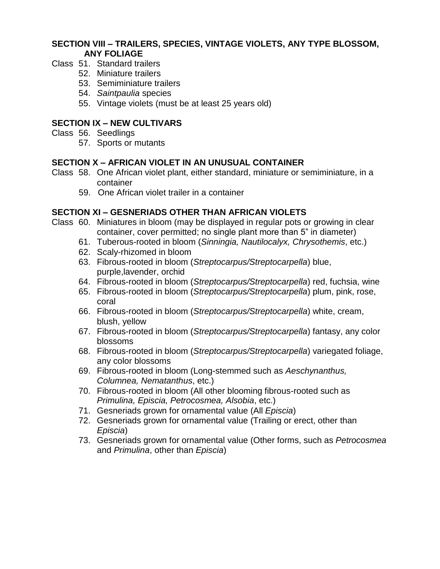#### **SECTION VIII – TRAILERS, SPECIES, VINTAGE VIOLETS, ANY TYPE BLOSSOM, ANY FOLIAGE**

- Class 51. Standard trailers
	- 52. Miniature trailers
	- 53. Semiminiature trailers
	- 54. *Saintpaulia* species
	- 55. Vintage violets (must be at least 25 years old)

### **SECTION IX – NEW CULTIVARS**

- Class 56. Seedlings
	- 57. Sports or mutants

### **SECTION X – AFRICAN VIOLET IN AN UNUSUAL CONTAINER**

- Class 58. One African violet plant, either standard, miniature or semiminiature, in a container
	- 59. One African violet trailer in a container

#### **SECTION XI – GESNERIADS OTHER THAN AFRICAN VIOLETS**

- Class 60. Miniatures in bloom (may be displayed in regular pots or growing in clear container, cover permitted; no single plant more than 5" in diameter)
	- 61. Tuberous-rooted in bloom (*Sinningia, Nautilocalyx, Chrysothemis*, etc.)
	- 62. Scaly-rhizomed in bloom
	- 63. Fibrous-rooted in bloom (*Streptocarpus/Streptocarpella*) blue, purple,lavender, orchid
	- 64. Fibrous-rooted in bloom (*Streptocarpus/Streptocarpella*) red, fuchsia, wine
	- 65. Fibrous-rooted in bloom (*Streptocarpus/Streptocarpella*) plum, pink, rose, coral
	- 66. Fibrous-rooted in bloom (*Streptocarpus/Streptocarpella*) white, cream, blush, yellow
	- 67. Fibrous-rooted in bloom (*Streptocarpus/Streptocarpella*) fantasy, any color blossoms
	- 68. Fibrous-rooted in bloom (*Streptocarpus/Streptocarpella*) variegated foliage, any color blossoms
	- 69. Fibrous-rooted in bloom (Long-stemmed such as *Aeschynanthus, Columnea, Nematanthus*, etc.)
	- 70. Fibrous-rooted in bloom (All other blooming fibrous-rooted such as *Primulina, Episcia, Petrocosmea, Alsobia*, etc.)
	- 71. Gesneriads grown for ornamental value (All *Episcia*)
	- 72. Gesneriads grown for ornamental value (Trailing or erect, other than *Episcia*)
	- 73. Gesneriads grown for ornamental value (Other forms, such as *Petrocosmea* and *Primulina*, other than *Episcia*)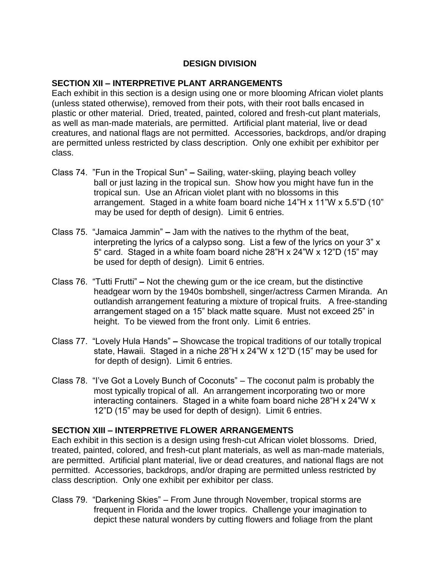### **DESIGN DIVISION**

#### **SECTION XII – INTERPRETIVE PLANT ARRANGEMENTS**

Each exhibit in this section is a design using one or more blooming African violet plants (unless stated otherwise), removed from their pots, with their root balls encased in plastic or other material. Dried, treated, painted, colored and fresh-cut plant materials, as well as man-made materials, are permitted. Artificial plant material, live or dead creatures, and national flags are not permitted. Accessories, backdrops, and/or draping are permitted unless restricted by class description. Only one exhibit per exhibitor per class.

- Class 74. "Fun in the Tropical Sun" **–** Sailing, water-skiing, playing beach volley ball or just lazing in the tropical sun. Show how you might have fun in the tropical sun. Use an African violet plant with no blossoms in this arrangement. Staged in a white foam board niche 14"H x 11"W x 5.5"D (10" may be used for depth of design). Limit 6 entries.
- Class 75. "Jamaica Jammin" **–** Jam with the natives to the rhythm of the beat, interpreting the lyrics of a calypso song. List a few of the lyrics on your 3" x 5" card. Staged in a white foam board niche 28"H x 24"W x 12"D (15" may be used for depth of design). Limit 6 entries.
- Class 76. "Tutti Frutti" **–** Not the chewing gum or the ice cream, but the distinctive headgear worn by the 1940s bombshell, singer/actress Carmen Miranda. An outlandish arrangement featuring a mixture of tropical fruits. A free-standing arrangement staged on a 15" black matte square. Must not exceed 25" in height. To be viewed from the front only. Limit 6 entries.
- Class 77. "Lovely Hula Hands" **–** Showcase the tropical traditions of our totally tropical state, Hawaii. Staged in a niche 28"H x 24"W x 12"D (15" may be used for for depth of design). Limit 6 entries.
- Class 78. "I've Got a Lovely Bunch of Coconuts" The coconut palm is probably the most typically tropical of all. An arrangement incorporating two or more interacting containers. Staged in a white foam board niche 28"H x 24"W x 12"D (15" may be used for depth of design). Limit 6 entries.

#### **SECTION XIII – INTERPRETIVE FLOWER ARRANGEMENTS**

Each exhibit in this section is a design using fresh-cut African violet blossoms. Dried, treated, painted, colored, and fresh-cut plant materials, as well as man-made materials, are permitted. Artificial plant material, live or dead creatures, and national flags are not permitted. Accessories, backdrops, and/or draping are permitted unless restricted by class description. Only one exhibit per exhibitor per class.

Class 79. "Darkening Skies" – From June through November, tropical storms are frequent in Florida and the lower tropics. Challenge your imagination to depict these natural wonders by cutting flowers and foliage from the plant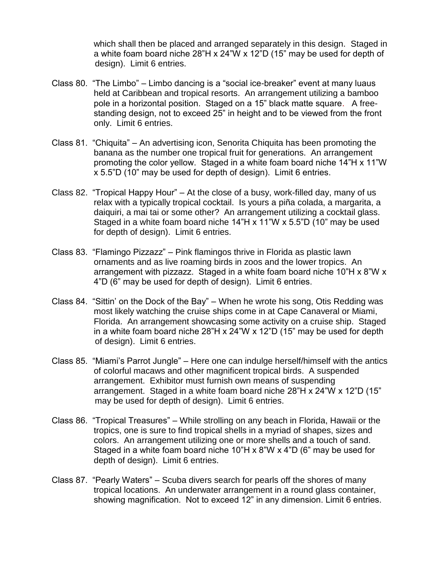which shall then be placed and arranged separately in this design. Staged in a white foam board niche 28"H x 24"W x 12"D (15" may be used for depth of design). Limit 6 entries.

- Class 80. "The Limbo" Limbo dancing is a "social ice-breaker" event at many luaus held at Caribbean and tropical resorts. An arrangement utilizing a bamboo pole in a horizontal position. Staged on a 15" black matte square. A freestanding design, not to exceed 25" in height and to be viewed from the front only. Limit 6 entries.
- Class 81. "Chiquita" An advertising icon, Senorita Chiquita has been promoting the banana as the number one tropical fruit for generations. An arrangement promoting the color yellow. Staged in a white foam board niche 14"H x 11"W x 5.5"D (10" may be used for depth of design). Limit 6 entries.
- Class 82. "Tropical Happy Hour" At the close of a busy, work-filled day, many of us relax with a typically tropical cocktail. Is yours a piña colada, a margarita, a daiquiri, a mai tai or some other? An arrangement utilizing a cocktail glass. Staged in a white foam board niche 14"H x 11"W x 5.5"D (10" may be used for depth of design). Limit 6 entries.
- Class 83. "Flamingo Pizzazz" Pink flamingos thrive in Florida as plastic lawn ornaments and as live roaming birds in zoos and the lower tropics. An arrangement with pizzazz. Staged in a white foam board niche 10 $H \times 8$  W  $\times$ 4"D (6" may be used for depth of design). Limit 6 entries.
- Class 84. "Sittin' on the Dock of the Bay" When he wrote his song, Otis Redding was most likely watching the cruise ships come in at Cape Canaveral or Miami, Florida. An arrangement showcasing some activity on a cruise ship. Staged in a white foam board niche 28"H x 24"W x 12"D (15" may be used for depth of design). Limit 6 entries.
- Class 85. "Miami's Parrot Jungle" Here one can indulge herself/himself with the antics of colorful macaws and other magnificent tropical birds. A suspended arrangement. Exhibitor must furnish own means of suspending arrangement. Staged in a white foam board niche 28"H x 24"W x 12"D (15" may be used for depth of design). Limit 6 entries.
- Class 86. "Tropical Treasures" While strolling on any beach in Florida, Hawaii or the tropics, one is sure to find tropical shells in a myriad of shapes, sizes and colors. An arrangement utilizing one or more shells and a touch of sand. Staged in a white foam board niche 10"H x 8"W x 4"D (6" may be used for depth of design). Limit 6 entries.
- Class 87. "Pearly Waters" Scuba divers search for pearls off the shores of many tropical locations. An underwater arrangement in a round glass container, showing magnification. Not to exceed 12" in any dimension. Limit 6 entries.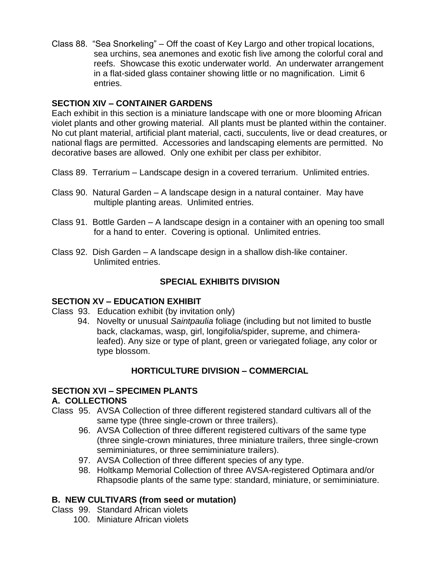Class 88. "Sea Snorkeling" – Off the coast of Key Largo and other tropical locations, sea urchins, sea anemones and exotic fish live among the colorful coral and reefs. Showcase this exotic underwater world. An underwater arrangement in a flat-sided glass container showing little or no magnification. Limit 6 entries.

# **SECTION XIV – CONTAINER GARDENS**

Each exhibit in this section is a miniature landscape with one or more blooming African violet plants and other growing material. All plants must be planted within the container. No cut plant material, artificial plant material, cacti, succulents, live or dead creatures, or national flags are permitted. Accessories and landscaping elements are permitted. No decorative bases are allowed. Only one exhibit per class per exhibitor.

Class 89. Terrarium – Landscape design in a covered terrarium. Unlimited entries.

- Class 90. Natural Garden A landscape design in a natural container. May have multiple planting areas. Unlimited entries.
- Class 91. Bottle Garden A landscape design in a container with an opening too small for a hand to enter. Covering is optional. Unlimited entries.
- Class 92. Dish Garden A landscape design in a shallow dish-like container. Unlimited entries.

# **SPECIAL EXHIBITS DIVISION**

# **SECTION XV – EDUCATION EXHIBIT**

- Class 93. Education exhibit (by invitation only)
	- 94. Novelty or unusual *Saintpaulia* foliage (including but not limited to bustle back, clackamas, wasp, girl, longifolia/spider, supreme, and chimeraleafed). Any size or type of plant, green or variegated foliage, any color or type blossom.

# **HORTICULTURE DIVISION – COMMERCIAL**

# **SECTION XVI – SPECIMEN PLANTS**

#### **A. COLLECTIONS**

- Class 95. AVSA Collection of three different registered standard cultivars all of the same type (three single-crown or three trailers).
	- 96. AVSA Collection of three different registered cultivars of the same type (three single-crown miniatures, three miniature trailers, three single-crown semiminiatures, or three semiminiature trailers).
	- 97. AVSA Collection of three different species of any type.
	- 98. Holtkamp Memorial Collection of three AVSA-registered Optimara and/or Rhapsodie plants of the same type: standard, miniature, or semiminiature.

# **B. NEW CULTIVARS (from seed or mutation)**

- Class 99. Standard African violets
	- 100. Miniature African violets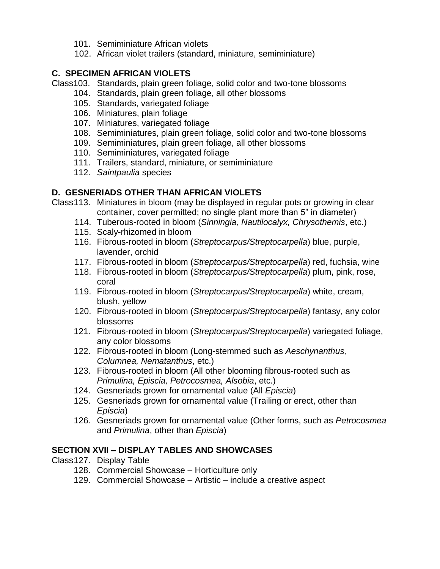- 101. Semiminiature African violets
- 102. African violet trailers (standard, miniature, semiminiature)

### **C. SPECIMEN AFRICAN VIOLETS**

Class103. Standards, plain green foliage, solid color and two-tone blossoms

- 104. Standards, plain green foliage, all other blossoms
- 105. Standards, variegated foliage
- 106. Miniatures, plain foliage
- 107. Miniatures, variegated foliage
- 108. Semiminiatures, plain green foliage, solid color and two-tone blossoms
- 109. Semiminiatures, plain green foliage, all other blossoms
- 110. Semiminiatures, variegated foliage
- 111. Trailers, standard, miniature, or semiminiature
- 112. *Saintpaulia* species

# **D. GESNERIADS OTHER THAN AFRICAN VIOLETS**

Class113. Miniatures in bloom (may be displayed in regular pots or growing in clear container, cover permitted; no single plant more than 5" in diameter)

- 114. Tuberous-rooted in bloom (*Sinningia, Nautilocalyx, Chrysothemis*, etc.)
- 115. Scaly-rhizomed in bloom
- 116. Fibrous-rooted in bloom (*Streptocarpus/Streptocarpella*) blue, purple, lavender, orchid
- 117. Fibrous-rooted in bloom (*Streptocarpus/Streptocarpella*) red, fuchsia, wine
- 118. Fibrous-rooted in bloom (*Streptocarpus/Streptocarpella*) plum, pink, rose, coral
- 119. Fibrous-rooted in bloom (*Streptocarpus/Streptocarpella*) white, cream, blush, yellow
- 120. Fibrous-rooted in bloom (*Streptocarpus/Streptocarpella*) fantasy, any color blossoms
- 121. Fibrous-rooted in bloom (*Streptocarpus/Streptocarpella*) variegated foliage, any color blossoms
- 122. Fibrous-rooted in bloom (Long-stemmed such as *Aeschynanthus, Columnea, Nematanthus*, etc.)
- 123. Fibrous-rooted in bloom (All other blooming fibrous-rooted such as *Primulina, Episcia, Petrocosmea, Alsobia*, etc.)
- 124. Gesneriads grown for ornamental value (All *Episcia*)
- 125. Gesneriads grown for ornamental value (Trailing or erect, other than *Episcia*)
- 126. Gesneriads grown for ornamental value (Other forms, such as *Petrocosmea* and *Primulina*, other than *Episcia*)

# **SECTION XVII – DISPLAY TABLES AND SHOWCASES**

Class127. Display Table

- 128. Commercial Showcase Horticulture only
- 129. Commercial Showcase Artistic include a creative aspect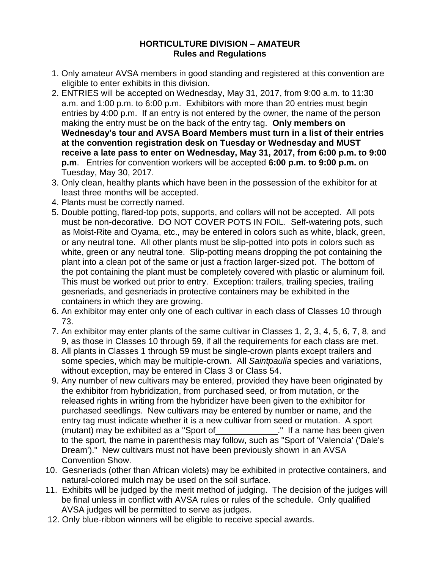#### **HORTICULTURE DIVISION – AMATEUR Rules and Regulations**

- 1. Only amateur AVSA members in good standing and registered at this convention are eligible to enter exhibits in this division.
- 2. ENTRIES will be accepted on Wednesday, May 31, 2017, from 9:00 a.m. to 11:30 a.m. and 1:00 p.m. to 6:00 p.m. Exhibitors with more than 20 entries must begin entries by 4:00 p.m. If an entry is not entered by the owner, the name of the person making the entry must be on the back of the entry tag. **Only members on Wednesday's tour and AVSA Board Members must turn in a list of their entries at the convention registration desk on Tuesday or Wednesday and MUST receive a late pass to enter on Wednesday, May 31, 2017, from 6:00 p.m. to 9:00 p.m**. Entries for convention workers will be accepted **6:00 p.m. to 9:00 p.m.** on Tuesday, May 30, 2017.
- 3. Only clean, healthy plants which have been in the possession of the exhibitor for at least three months will be accepted.
- 4. Plants must be correctly named.
- 5. Double potting, flared-top pots, supports, and collars will not be accepted. All pots must be non-decorative. DO NOT COVER POTS IN FOIL. Self-watering pots, such as Moist-Rite and Oyama, etc., may be entered in colors such as white, black, green, or any neutral tone. All other plants must be slip-potted into pots in colors such as white, green or any neutral tone. Slip-potting means dropping the pot containing the plant into a clean pot of the same or just a fraction larger-sized pot. The bottom of the pot containing the plant must be completely covered with plastic or aluminum foil. This must be worked out prior to entry. Exception: trailers, trailing species, trailing gesneriads, and gesneriads in protective containers may be exhibited in the containers in which they are growing.
- 6. An exhibitor may enter only one of each cultivar in each class of Classes 10 through 73.
- 7. An exhibitor may enter plants of the same cultivar in Classes 1, 2, 3, 4, 5, 6, 7, 8, and 9, as those in Classes 10 through 59, if all the requirements for each class are met.
- 8. All plants in Classes 1 through 59 must be single-crown plants except trailers and some species, which may be multiple-crown. All *Saintpaulia* species and variations, without exception, may be entered in Class 3 or Class 54.
- 9. Any number of new cultivars may be entered, provided they have been originated by the exhibitor from hybridization, from purchased seed, or from mutation, or the released rights in writing from the hybridizer have been given to the exhibitor for purchased seedlings. New cultivars may be entered by number or name, and the entry tag must indicate whether it is a new cultivar from seed or mutation. A sport (mutant) may be exhibited as a "Sport of\_\_\_\_\_\_\_\_\_\_\_\_\_." If a name has been given to the sport, the name in parenthesis may follow, such as "Sport of 'Valencia' ('Dale's Dream')." New cultivars must not have been previously shown in an AVSA Convention Show.
- 10. Gesneriads (other than African violets) may be exhibited in protective containers, and natural-colored mulch may be used on the soil surface.
- 11. Exhibits will be judged by the merit method of judging. The decision of the judges will be final unless in conflict with AVSA rules or rules of the schedule. Only qualified AVSA judges will be permitted to serve as judges.
- 12. Only blue-ribbon winners will be eligible to receive special awards.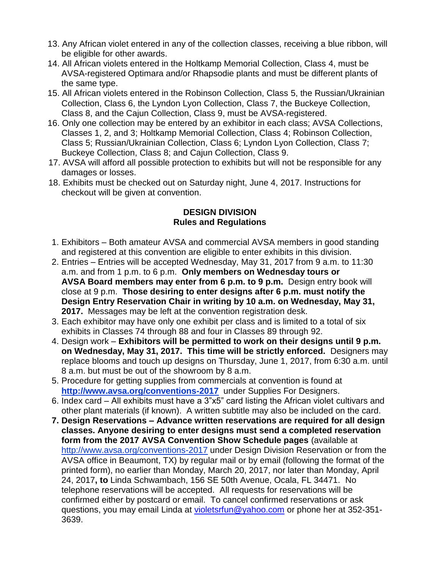- 13. Any African violet entered in any of the collection classes, receiving a blue ribbon, will be eligible for other awards.
- 14. All African violets entered in the Holtkamp Memorial Collection, Class 4, must be AVSA-registered Optimara and/or Rhapsodie plants and must be different plants of the same type.
- 15. All African violets entered in the Robinson Collection, Class 5, the Russian/Ukrainian Collection, Class 6, the Lyndon Lyon Collection, Class 7, the Buckeye Collection, Class 8, and the Cajun Collection, Class 9, must be AVSA-registered.
- 16. Only one collection may be entered by an exhibitor in each class; AVSA Collections, Classes 1, 2, and 3; Holtkamp Memorial Collection, Class 4; Robinson Collection, Class 5; Russian/Ukrainian Collection, Class 6; Lyndon Lyon Collection, Class 7; Buckeye Collection, Class 8; and Cajun Collection, Class 9.
- 17. AVSA will afford all possible protection to exhibits but will not be responsible for any damages or losses.
- 18. Exhibits must be checked out on Saturday night, June 4, 2017. Instructions for checkout will be given at convention.

### **DESIGN DIVISION Rules and Regulations**

- 1. Exhibitors Both amateur AVSA and commercial AVSA members in good standing and registered at this convention are eligible to enter exhibits in this division.
- 2. Entries Entries will be accepted Wednesday, May 31, 2017 from 9 a.m. to 11:30 a.m. and from 1 p.m. to 6 p.m. **Only members on Wednesday tours or AVSA Board members may enter from 6 p.m. to 9 p.m.** Design entry book will close at 9 p.m. **Those desiring to enter designs after 6 p.m. must notify the Design Entry Reservation Chair in writing by 10 a.m. on Wednesday, May 31, 2017.** Messages may be left at the convention registration desk.
- 3. Each exhibitor may have only one exhibit per class and is limited to a total of six exhibits in Classes 74 through 88 and four in Classes 89 through 92.
- 4. Design work **Exhibitors will be permitted to work on their designs until 9 p.m. on Wednesday, May 31, 2017. This time will be strictly enforced.** Designers may replace blooms and touch up designs on Thursday, June 1, 2017, from 6:30 a.m. until 8 a.m. but must be out of the showroom by 8 a.m.
- 5. Procedure for getting supplies from commercials at convention is found at **[http://www.avsa.org/conventions-2017](http://www.avsa.org/sites/default/files/files/2017%20Orlando%20Convention/Designer%20Supplies%20-%20Orlando.pdf)** under Supplies For Designers.
- 6. Index card All exhibits must have a 3"x5" card listing the African violet cultivars and other plant materials (if known). A written subtitle may also be included on the card.
- **7. Design Reservations – Advance written reservations are required for all design classes. Anyone desiring to enter designs must send a completed reservation form from the 2017 AVSA Convention Show Schedule pages** (available at [http://www.avsa.org/conventions-2017](http://www.avsa.org/sites/default/files/files/2017%20Orlando%20Convention/Design%20Division%20Reservations%20-%20Orlando.pdf) under Design Division Reservation or from the AVSA office in Beaumont, TX) by regular mail or by email (following the format of the printed form), no earlier than Monday, March 20, 2017, nor later than Monday, April 24, 2017**, to** Linda Schwambach, 156 SE 50th Avenue, Ocala, FL 34471. No telephone reservations will be accepted. All requests for reservations will be confirmed either by postcard or email. To cancel confirmed reservations or ask questions, you may email Linda at [violetsrfun@yahoo.com](mailto:violetsrfun@yahoo.com) or phone her at 352-351- 3639.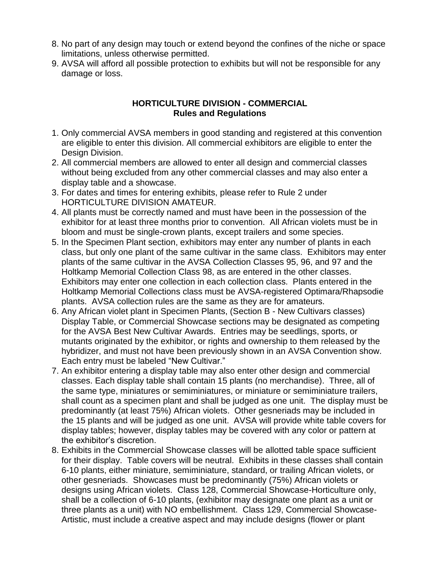- 8. No part of any design may touch or extend beyond the confines of the niche or space limitations, unless otherwise permitted.
- 9. AVSA will afford all possible protection to exhibits but will not be responsible for any damage or loss.

# **HORTICULTURE DIVISION - COMMERCIAL Rules and Regulations**

- 1. Only commercial AVSA members in good standing and registered at this convention are eligible to enter this division. All commercial exhibitors are eligible to enter the Design Division.
- 2. All commercial members are allowed to enter all design and commercial classes without being excluded from any other commercial classes and may also enter a display table and a showcase.
- 3. For dates and times for entering exhibits, please refer to Rule 2 under HORTICULTURE DIVISION AMATEUR.
- 4. All plants must be correctly named and must have been in the possession of the exhibitor for at least three months prior to convention. All African violets must be in bloom and must be single-crown plants, except trailers and some species.
- 5. In the Specimen Plant section, exhibitors may enter any number of plants in each class, but only one plant of the same cultivar in the same class. Exhibitors may enter plants of the same cultivar in the AVSA Collection Classes 95, 96, and 97 and the Holtkamp Memorial Collection Class 98, as are entered in the other classes. Exhibitors may enter one collection in each collection class. Plants entered in the Holtkamp Memorial Collections class must be AVSA-registered Optimara/Rhapsodie plants. AVSA collection rules are the same as they are for amateurs.
- 6. Any African violet plant in Specimen Plants, (Section B New Cultivars classes) Display Table, or Commercial Showcase sections may be designated as competing for the AVSA Best New Cultivar Awards. Entries may be seedlings, sports, or mutants originated by the exhibitor, or rights and ownership to them released by the hybridizer, and must not have been previously shown in an AVSA Convention show. Each entry must be labeled "New Cultivar."
- 7. An exhibitor entering a display table may also enter other design and commercial classes. Each display table shall contain 15 plants (no merchandise). Three, all of the same type, miniatures or semiminiatures, or miniature or semiminiature trailers, shall count as a specimen plant and shall be judged as one unit. The display must be predominantly (at least 75%) African violets. Other gesneriads may be included in the 15 plants and will be judged as one unit. AVSA will provide white table covers for display tables; however, display tables may be covered with any color or pattern at the exhibitor's discretion.
- 8. Exhibits in the Commercial Showcase classes will be allotted table space sufficient for their display. Table covers will be neutral. Exhibits in these classes shall contain 6-10 plants, either miniature, semiminiature, standard, or trailing African violets, or other gesneriads. Showcases must be predominantly (75%) African violets or designs using African violets.Class 128, Commercial Showcase-Horticulture only, shall be a collection of 6-10 plants, (exhibitor may designate one plant as a unit or three plants as a unit) with NO embellishment. Class 129, Commercial Showcase-Artistic, must include a creative aspect and may include designs (flower or plant